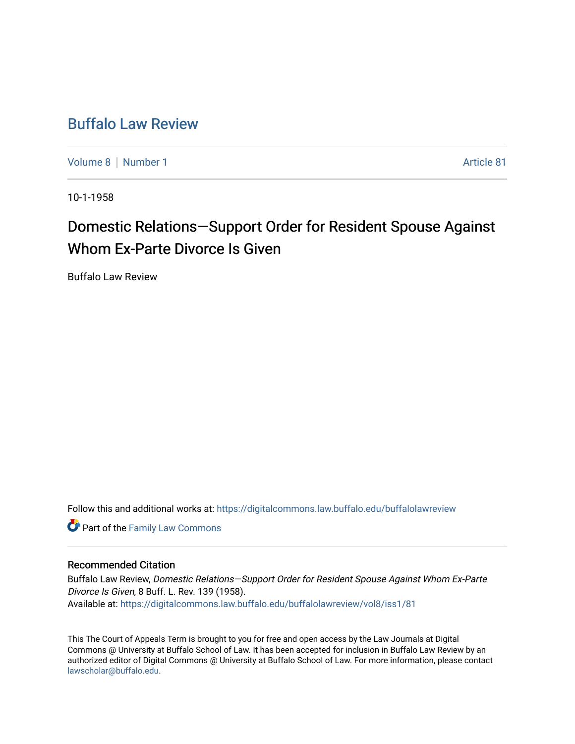## [Buffalo Law Review](https://digitalcommons.law.buffalo.edu/buffalolawreview)

[Volume 8](https://digitalcommons.law.buffalo.edu/buffalolawreview/vol8) | [Number 1](https://digitalcommons.law.buffalo.edu/buffalolawreview/vol8/iss1) Article 81

10-1-1958

# Domestic Relations—Support Order for Resident Spouse Against Whom Ex-Parte Divorce Is Given

Buffalo Law Review

Follow this and additional works at: [https://digitalcommons.law.buffalo.edu/buffalolawreview](https://digitalcommons.law.buffalo.edu/buffalolawreview?utm_source=digitalcommons.law.buffalo.edu%2Fbuffalolawreview%2Fvol8%2Fiss1%2F81&utm_medium=PDF&utm_campaign=PDFCoverPages) 

**Part of the Family Law Commons** 

### Recommended Citation

Buffalo Law Review, Domestic Relations—Support Order for Resident Spouse Against Whom Ex-Parte Divorce Is Given, 8 Buff. L. Rev. 139 (1958). Available at: [https://digitalcommons.law.buffalo.edu/buffalolawreview/vol8/iss1/81](https://digitalcommons.law.buffalo.edu/buffalolawreview/vol8/iss1/81?utm_source=digitalcommons.law.buffalo.edu%2Fbuffalolawreview%2Fvol8%2Fiss1%2F81&utm_medium=PDF&utm_campaign=PDFCoverPages) 

This The Court of Appeals Term is brought to you for free and open access by the Law Journals at Digital Commons @ University at Buffalo School of Law. It has been accepted for inclusion in Buffalo Law Review by an authorized editor of Digital Commons @ University at Buffalo School of Law. For more information, please contact [lawscholar@buffalo.edu](mailto:lawscholar@buffalo.edu).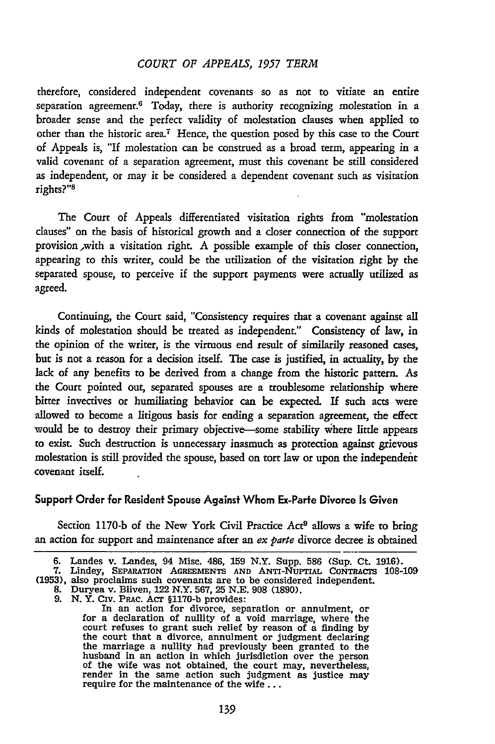#### *COURT OF APPEALS, 1957 TERM*

therefore, considered independent covenants so as not to vitiate an entire separation agreement.<sup>6</sup> Today, there is authority recognizing molestation in a broader sense and the perfect validity of molestation clauses when applied to other than the historic area.7 Hence, the question posed by this case to the Court of Appeals is, "If molestation can be construed as a broad term, appearing in a valid covenant of a separation agreement, must this covenant be still considered as independent, or may it be considered a dependent covenant such as visitation rights?"8

The Court of Appeals differentiated visitation rights from "molestation clauses" on the basis of historical growth and a closer connection of the support provision ,with a visitation right. A possible example of this closer connection, appearing to this writer, could be the utilization of the visitation right by the separated spouse, to perceive if the support payments were actually utilized as agreed.

Continuing, the Court said, "Consistency requires that a covenant against all kinds of molestation should be treated as independent." Consistency of law, in the opinion of the writer, is the virtuous end result of similarily reasoned cases, but is not a reason for a decision itself. The case is justified, in actuality, by the lack of any benefits to be derived from a change from the historic pattern. As the Court pointed out, separated spouses are a troublesome relationship where bitter invectives or humiliating behavior can be expected. If such acts were allowed to become a litigous basis for ending a separation agreement, the effect would be to destroy their primary objective-some stability wihere little appears to exist. Such destruction is unnecessary inasmuch as protection against grievous molestation is still provided the spouse, based on tort law or upon the independent covenant itself.

#### Support Order for Resident Spouse Against Whom Ex-Parte Divorce Is Given

Section 1170-b of the New York Civil Practice Act<sup>9</sup> allows a wife to bring an action for support and maintenance after an ex parte divorce decree is obtained

**<sup>6.</sup>** Landes v. Landes, 94 Misc. 486, **159** N.Y. Supp. **586** (Sup. Ct. **1916).** 7. Lindey, SEPARATION AGREEMENTS AND ANTI-NUPTIAL CONTRACTS 108-109 (1953), also proclaims such covenants are to be considered independent.<br>8. Duryea v. Bliven, 122 N.Y. 567, 25 N.E. 908 (1890).<br>9. N.Y. CIV. PRAC. ACT §117

In an action for divorce, separation or annulment, or for a declaration of nullity of a void marriage, where the court refuses to grant such relief **by** reason of a finding **by** the court that a divorce, annulment or judgment declaring the marriage a nullity had previously been granted to the husband in an action in which jurisdiction over the person of the wife was not obtained, the court may, nevertheless, render in the same action such judgment as justice may require for the maintenance of the wife **...**